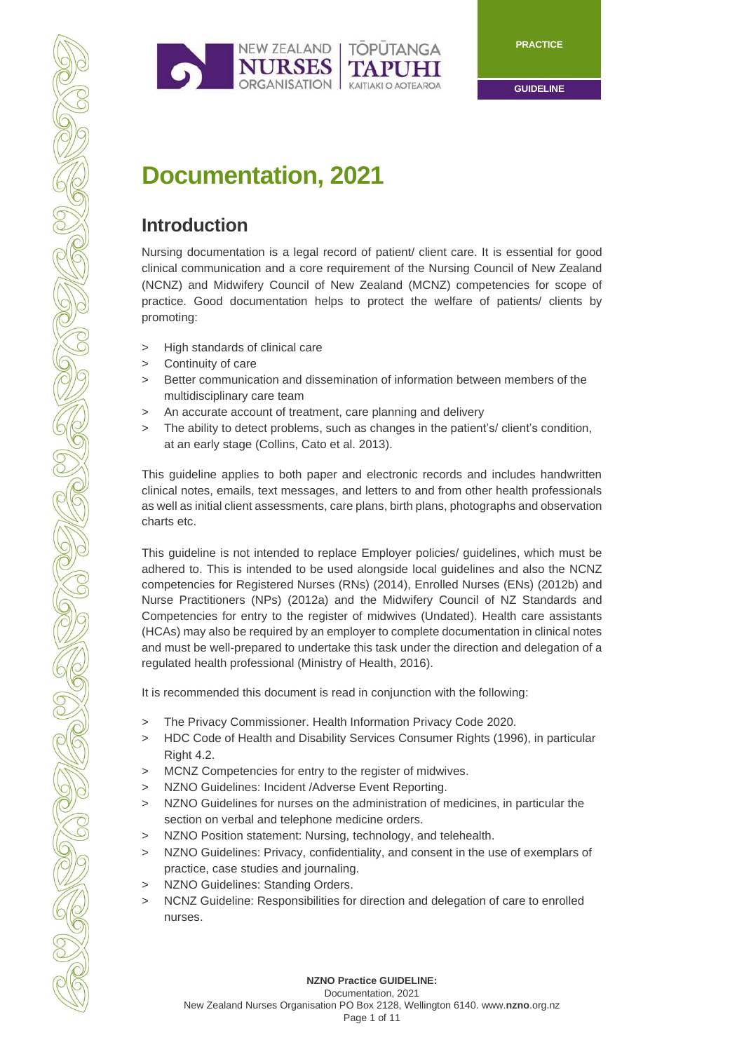

**GUIDELINE**

# **Documentation, 2021**

## **Introduction**

Nursing documentation is a legal record of patient/ client care. It is essential for good clinical communication and a core requirement of the Nursing Council of New Zealand (NCNZ) and Midwifery Council of New Zealand (MCNZ) competencies for scope of practice. Good documentation helps to protect the welfare of patients/ clients by promoting:

- > High standards of clinical care
- > Continuity of care
- > Better communication and dissemination of information between members of the multidisciplinary care team
- > An accurate account of treatment, care planning and delivery
- > The ability to detect problems, such as changes in the patient's/ client's condition, at an early stage (Collins, Cato et al. 2013).

This guideline applies to both paper and electronic records and includes handwritten clinical notes, emails, text messages, and letters to and from other health professionals as well as initial client assessments, care plans, birth plans, photographs and observation charts etc.

This guideline is not intended to replace Employer policies/ guidelines, which must be adhered to. This is intended to be used alongside local guidelines and also the NCNZ competencies for Registered Nurses (RNs) (2014), Enrolled Nurses (ENs) (2012b) and Nurse Practitioners (NPs) (2012a) and the Midwifery Council of NZ Standards and Competencies for entry to the register of midwives (Undated). Health care assistants (HCAs) may also be required by an employer to complete documentation in clinical notes and must be well-prepared to undertake this task under the direction and delegation of a regulated health professional (Ministry of Health, 2016).

It is recommended this document is read in conjunction with the following:

- > The Privacy Commissioner. Health Information Privacy Code 2020.
- > HDC Code of Health and Disability Services Consumer Rights (1996), in particular Right 4.2.
- > MCNZ Competencies for entry to the register of midwives.
- > NZNO Guidelines: Incident /Adverse Event Reporting.
- > NZNO Guidelines for nurses on the administration of medicines, in particular the section on verbal and telephone medicine orders.
- > NZNO Position statement: Nursing, technology, and telehealth.
- > NZNO Guidelines: Privacy, confidentiality, and consent in the use of exemplars of practice, case studies and journaling.
- > NZNO Guidelines: Standing Orders.
- > NCNZ Guideline: Responsibilities for direction and delegation of care to enrolled nurses.

**NZNO Practice GUIDELINE:** Documentation, 2021

Page 1 of 11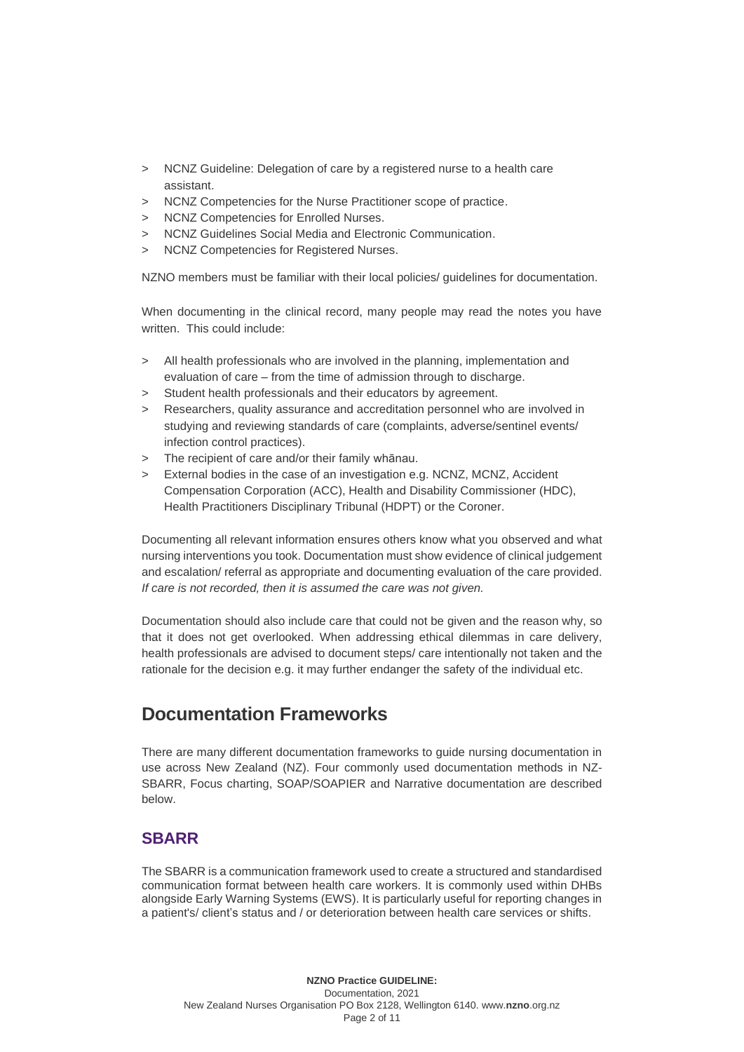- > NCNZ Guideline: Delegation of care by a registered nurse to a health care assistant.
- > NCNZ Competencies for the Nurse Practitioner scope of practice.
- NCNZ Competencies for Enrolled Nurses.
- > NCNZ Guidelines Social Media and Electronic Communication.
- > NCNZ Competencies for Registered Nurses.

NZNO members must be familiar with their local policies/ guidelines for documentation.

When documenting in the clinical record, many people may read the notes you have written. This could include:

- > All health professionals who are involved in the planning, implementation and evaluation of care – from the time of admission through to discharge.
- > Student health professionals and their educators by agreement.
- > Researchers, quality assurance and accreditation personnel who are involved in studying and reviewing standards of care (complaints, adverse/sentinel events/ infection control practices).
- > The recipient of care and/or their family whānau.
- > External bodies in the case of an investigation e.g. NCNZ, MCNZ, Accident Compensation Corporation (ACC), Health and Disability Commissioner (HDC), Health Practitioners Disciplinary Tribunal (HDPT) or the Coroner.

Documenting all relevant information ensures others know what you observed and what nursing interventions you took. Documentation must show evidence of clinical judgement and escalation/ referral as appropriate and documenting evaluation of the care provided. *If care is not recorded, then it is assumed the care was not given.*

Documentation should also include care that could not be given and the reason why, so that it does not get overlooked. When addressing ethical dilemmas in care delivery, health professionals are advised to document steps/ care intentionally not taken and the rationale for the decision e.g. it may further endanger the safety of the individual etc.

## **Documentation Frameworks**

There are many different documentation frameworks to guide nursing documentation in use across New Zealand (NZ). Four commonly used documentation methods in NZ-SBARR, Focus charting, SOAP/SOAPIER and Narrative documentation are described below.

## **SBARR**

The SBARR is a communication framework used to create a structured and standardised communication format between health care workers. It is commonly used within DHBs alongside Early Warning Systems (EWS). It is particularly useful for reporting changes in a patient's/ client's status and / or deterioration between health care services or shifts.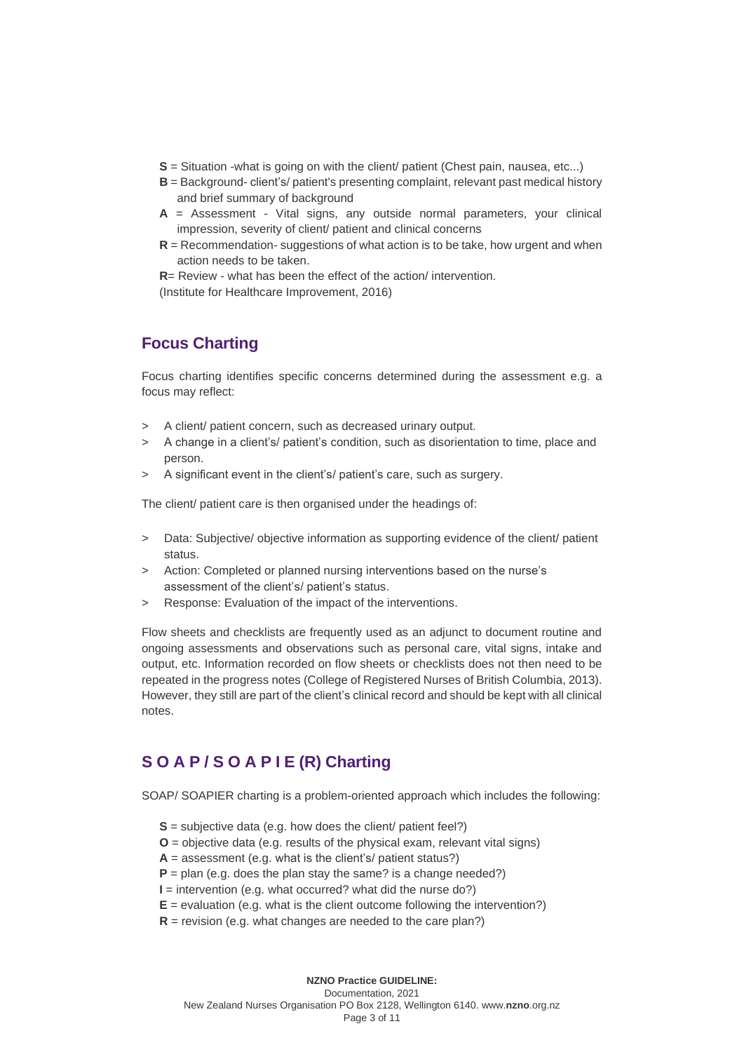- **S** = Situation -what is going on with the client/ patient (Chest pain, nausea, etc...)
- **B** = Background- client's/ patient's presenting complaint, relevant past medical history and brief summary of background
- **A** = Assessment Vital signs, any outside normal parameters, your clinical impression, severity of client/ patient and clinical concerns
- **R** = Recommendation- suggestions of what action is to be take, how urgent and when action needs to be taken.

**R**= Review - what has been the effect of the action/ intervention.

(Institute for Healthcare Improvement, 2016)

### **Focus Charting**

Focus charting identifies specific concerns determined during the assessment e.g. a focus may reflect:

- > A client/ patient concern, such as decreased urinary output.
- > A change in a client's/ patient's condition, such as disorientation to time, place and person.
- > A significant event in the client's/ patient's care, such as surgery.

The client/ patient care is then organised under the headings of:

- > Data: Subjective/ objective information as supporting evidence of the client/ patient status.
- > Action: Completed or planned nursing interventions based on the nurse's assessment of the client's/ patient's status.
- > Response: Evaluation of the impact of the interventions.

Flow sheets and checklists are frequently used as an adjunct to document routine and ongoing assessments and observations such as personal care, vital signs, intake and output, etc. Information recorded on flow sheets or checklists does not then need to be repeated in the progress notes (College of Registered Nurses of British Columbia, 2013). However, they still are part of the client's clinical record and should be kept with all clinical notes.

## **S O A P / S O A P I E (R) Charting**

SOAP/ SOAPIER charting is a problem-oriented approach which includes the following:

- **S** = subjective data (e.g. how does the client/ patient feel?)
- **O** = objective data (e.g. results of the physical exam, relevant vital signs)
- $A =$  assessment (e.g. what is the client's/ patient status?)
- $P =$  plan (e.g. does the plan stay the same? is a change needed?)
- **I** = intervention (e.g. what occurred? what did the nurse do?)
- $E =$  evaluation (e.g. what is the client outcome following the intervention?)
- **R** = revision (e.g. what changes are needed to the care plan?)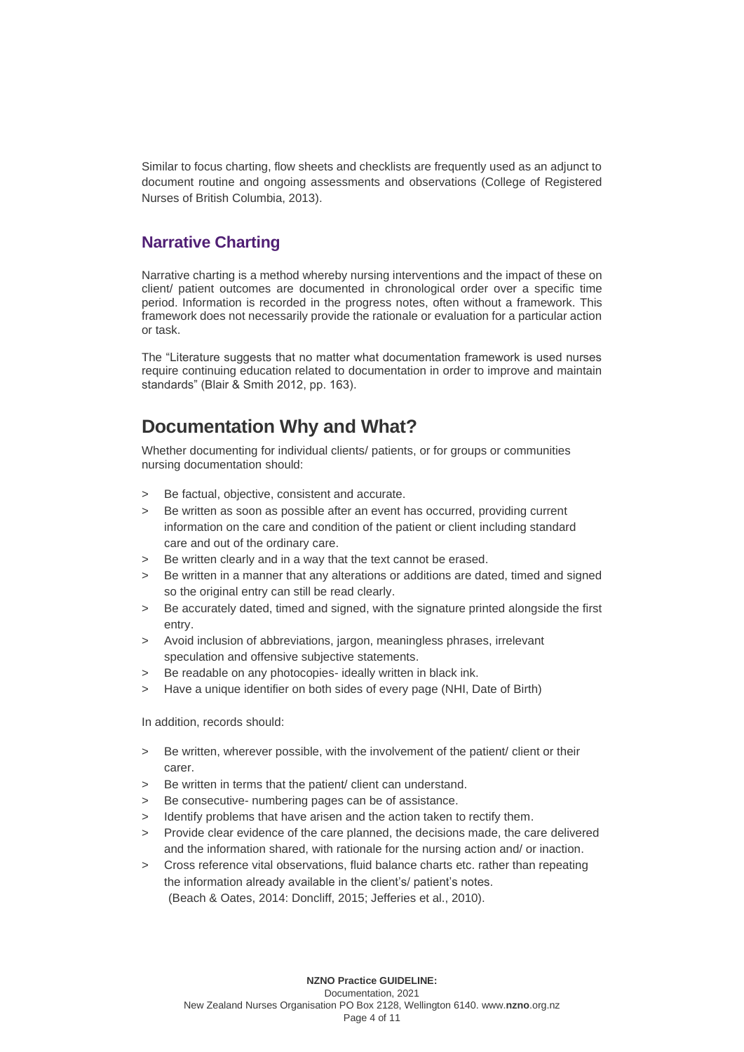Similar to focus charting, flow sheets and checklists are frequently used as an adjunct to document routine and ongoing assessments and observations (College of Registered Nurses of British Columbia, 2013).

### **Narrative Charting**

Narrative charting is a method whereby nursing interventions and the impact of these on client/ patient outcomes are documented in chronological order over a specific time period. Information is recorded in the progress notes, often without a framework. This framework does not necessarily provide the rationale or evaluation for a particular action or task.

The "Literature suggests that no matter what documentation framework is used nurses require continuing education related to documentation in order to improve and maintain standards" (Blair & Smith 2012, pp. 163).

## **Documentation Why and What?**

Whether documenting for individual clients/ patients, or for groups or communities nursing documentation should:

- > Be factual, objective, consistent and accurate.
- Be written as soon as possible after an event has occurred, providing current information on the care and condition of the patient or client including standard care and out of the ordinary care.
- Be written clearly and in a way that the text cannot be erased.
- Be written in a manner that any alterations or additions are dated, timed and signed so the original entry can still be read clearly.
- > Be accurately dated, timed and signed, with the signature printed alongside the first entry.
- > Avoid inclusion of abbreviations, jargon, meaningless phrases, irrelevant speculation and offensive subjective statements.
- Be readable on any photocopies- ideally written in black ink.
- > Have a unique identifier on both sides of every page (NHI, Date of Birth)

In addition, records should:

- > Be written, wherever possible, with the involvement of the patient/ client or their carer.
- > Be written in terms that the patient/ client can understand.
- > Be consecutive- numbering pages can be of assistance.
- Identify problems that have arisen and the action taken to rectify them.
- Provide clear evidence of the care planned, the decisions made, the care delivered and the information shared, with rationale for the nursing action and/ or inaction.
- > Cross reference vital observations, fluid balance charts etc. rather than repeating the information already available in the client's/ patient's notes. (Beach & Oates, 2014: Doncliff, 2015; Jefferies et al., 2010).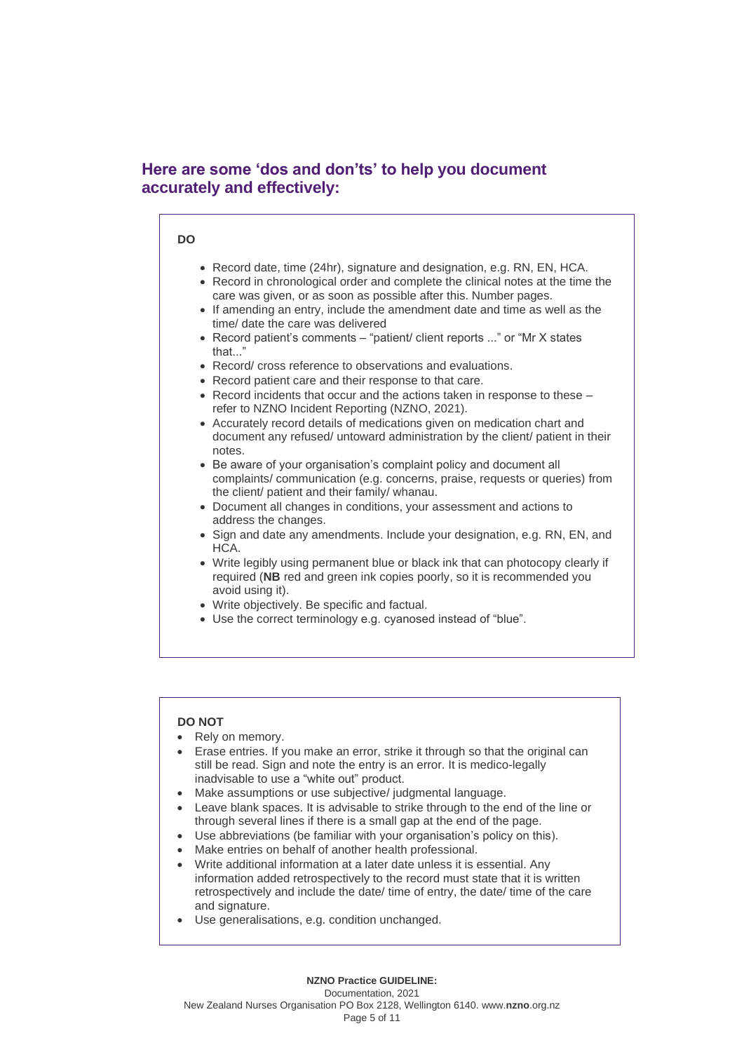### **Here are some 'dos and don'ts' to help you document accurately and effectively:**

#### **DO**

- Record date, time (24hr), signature and designation, e.g. RN, EN, HCA.
- Record in chronological order and complete the clinical notes at the time the care was given, or as soon as possible after this. Number pages.
- If amending an entry, include the amendment date and time as well as the time/ date the care was delivered
- Record patient's comments "patient/ client reports ..." or "Mr X states that."
- Record/ cross reference to observations and evaluations.
- Record patient care and their response to that care.
- Record incidents that occur and the actions taken in response to these refer to NZNO Incident Reporting (NZNO, 2021).
- Accurately record details of medications given on medication chart and document any refused/ untoward administration by the client/ patient in their notes.
- Be aware of your organisation's complaint policy and document all complaints/ communication (e.g. concerns, praise, requests or queries) from the client/ patient and their family/ whanau.
- Document all changes in conditions, your assessment and actions to address the changes.
- Sign and date any amendments. Include your designation, e.g. RN, EN, and HCA.
- Write legibly using permanent blue or black ink that can photocopy clearly if required (**NB** red and green ink copies poorly, so it is recommended you avoid using it).
- Write objectively. Be specific and factual.
- Use the correct terminology e.g. cyanosed instead of "blue".

#### **DO NOT**

- Rely on memory.
- Erase entries. If you make an error, strike it through so that the original can still be read. Sign and note the entry is an error. It is medico-legally inadvisable to use a "white out" product.
- Make assumptions or use subjective/ judgmental language.
- Leave blank spaces. It is advisable to strike through to the end of the line or through several lines if there is a small gap at the end of the page.
- Use abbreviations (be familiar with your organisation's policy on this).
- Make entries on behalf of another health professional.
- Write additional information at a later date unless it is essential. Any information added retrospectively to the record must state that it is written retrospectively and include the date/ time of entry, the date/ time of the care and signature.
- Use generalisations, e.g. condition unchanged.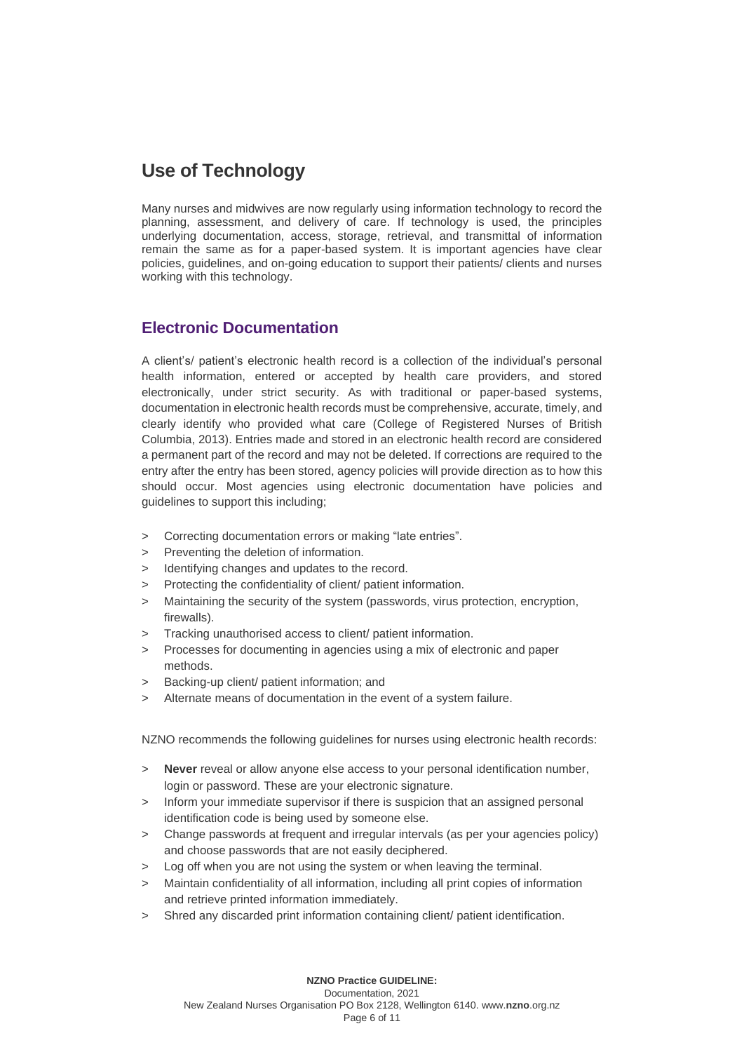## **Use of Technology**

Many nurses and midwives are now regularly using information technology to record the planning, assessment, and delivery of care. If technology is used, the principles underlying documentation, access, storage, retrieval, and transmittal of information remain the same as for a paper-based system. It is important agencies have clear policies, guidelines, and on-going education to support their patients/ clients and nurses working with this technology.

### **Electronic Documentation**

A client's/ patient's electronic health record is a collection of the individual's personal health information, entered or accepted by health care providers, and stored electronically, under strict security. As with traditional or paper-based systems, documentation in electronic health records must be comprehensive, accurate, timely, and clearly identify who provided what care (College of Registered Nurses of British Columbia, 2013). Entries made and stored in an electronic health record are considered a permanent part of the record and may not be deleted. If corrections are required to the entry after the entry has been stored, agency policies will provide direction as to how this should occur. Most agencies using electronic documentation have policies and guidelines to support this including;

- > Correcting documentation errors or making "late entries".
- > Preventing the deletion of information.
- Identifying changes and updates to the record.
- Protecting the confidentiality of client/ patient information.
- Maintaining the security of the system (passwords, virus protection, encryption, firewalls).
- Tracking unauthorised access to client/ patient information.
- > Processes for documenting in agencies using a mix of electronic and paper methods.
- Backing-up client/ patient information; and
- > Alternate means of documentation in the event of a system failure.

NZNO recommends the following guidelines for nurses using electronic health records:

- > **Never** reveal or allow anyone else access to your personal identification number, login or password. These are your electronic signature.
- > Inform your immediate supervisor if there is suspicion that an assigned personal identification code is being used by someone else.
- > Change passwords at frequent and irregular intervals (as per your agencies policy) and choose passwords that are not easily deciphered.
- > Log off when you are not using the system or when leaving the terminal.
- > Maintain confidentiality of all information, including all print copies of information and retrieve printed information immediately.
- > Shred any discarded print information containing client/ patient identification.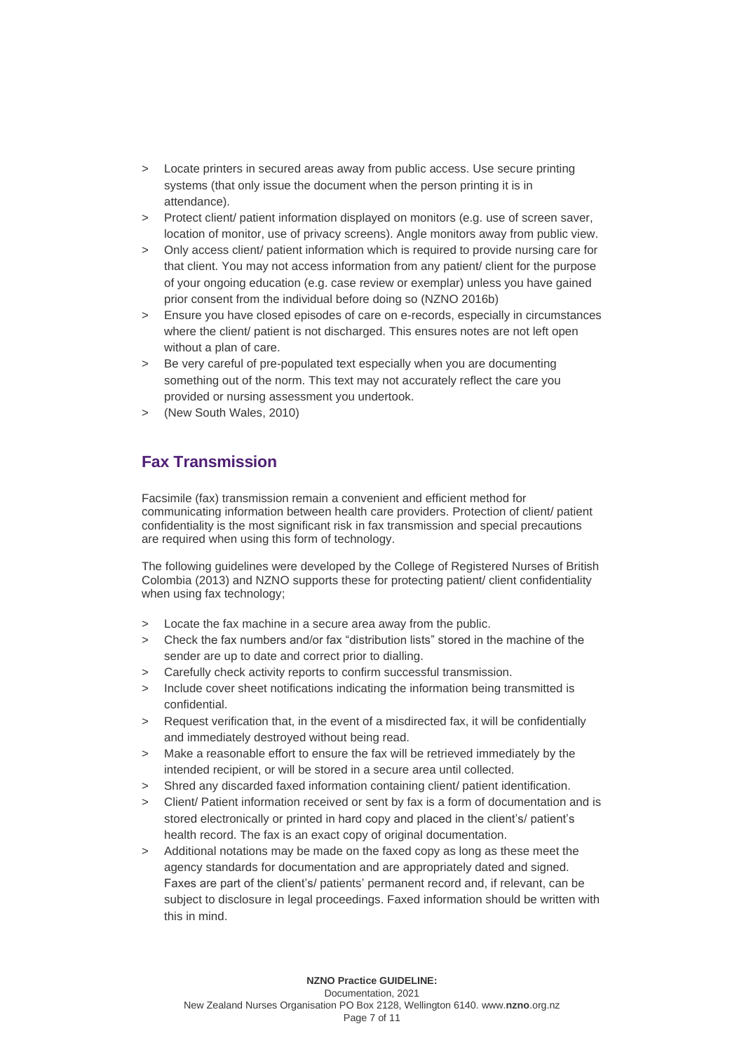- > Locate printers in secured areas away from public access. Use secure printing systems (that only issue the document when the person printing it is in attendance).
- > Protect client/ patient information displayed on monitors (e.g. use of screen saver, location of monitor, use of privacy screens). Angle monitors away from public view.
- > Only access client/ patient information which is required to provide nursing care for that client. You may not access information from any patient/ client for the purpose of your ongoing education (e.g. case review or exemplar) unless you have gained prior consent from the individual before doing so (NZNO 2016b)
- > Ensure you have closed episodes of care on e-records, especially in circumstances where the client/ patient is not discharged. This ensures notes are not left open without a plan of care.
- > Be very careful of pre-populated text especially when you are documenting something out of the norm. This text may not accurately reflect the care you provided or nursing assessment you undertook.
- > (New South Wales, 2010)

## **Fax Transmission**

Facsimile (fax) transmission remain a convenient and efficient method for communicating information between health care providers. Protection of client/ patient confidentiality is the most significant risk in fax transmission and special precautions are required when using this form of technology.

The following guidelines were developed by the College of Registered Nurses of British Colombia (2013) and NZNO supports these for protecting patient/ client confidentiality when using fax technology;

- > Locate the fax machine in a secure area away from the public.
- > Check the fax numbers and/or fax "distribution lists" stored in the machine of the sender are up to date and correct prior to dialling.
- Carefully check activity reports to confirm successful transmission.
- > Include cover sheet notifications indicating the information being transmitted is confidential.
- > Request verification that, in the event of a misdirected fax, it will be confidentially and immediately destroyed without being read.
- > Make a reasonable effort to ensure the fax will be retrieved immediately by the intended recipient, or will be stored in a secure area until collected.
- > Shred any discarded faxed information containing client/ patient identification.
- > Client/ Patient information received or sent by fax is a form of documentation and is stored electronically or printed in hard copy and placed in the client's/ patient's health record. The fax is an exact copy of original documentation.
- > Additional notations may be made on the faxed copy as long as these meet the agency standards for documentation and are appropriately dated and signed. Faxes are part of the client's/ patients' permanent record and, if relevant, can be subject to disclosure in legal proceedings. Faxed information should be written with this in mind.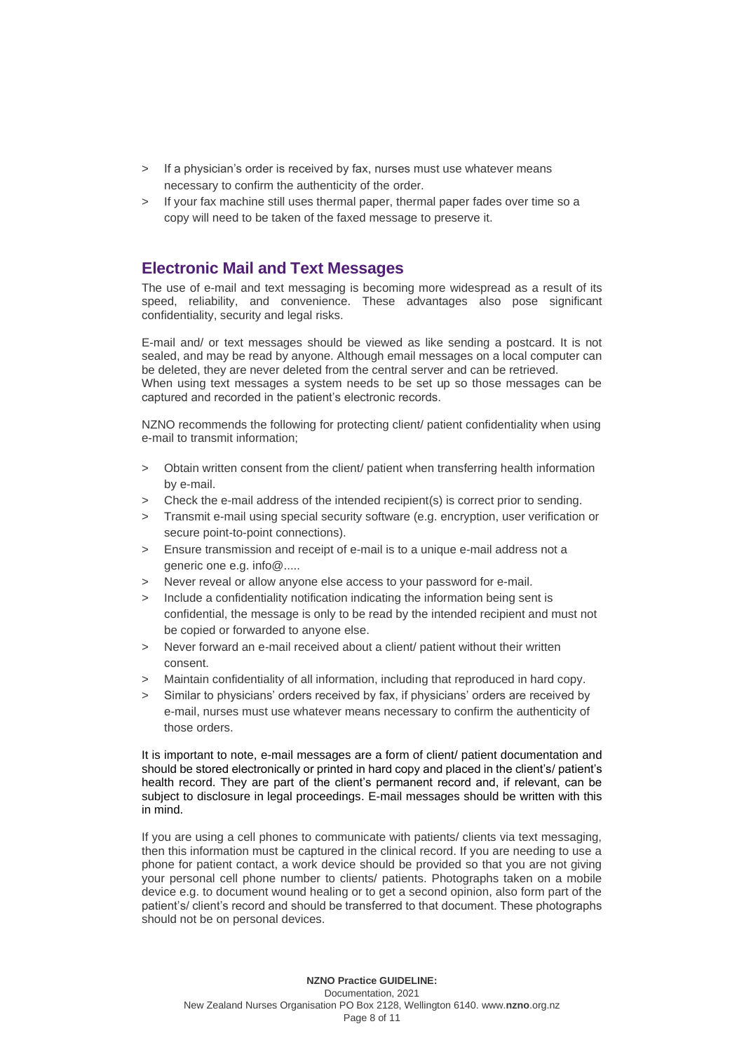- > If a physician's order is received by fax, nurses must use whatever means necessary to confirm the authenticity of the order.
- > If your fax machine still uses thermal paper, thermal paper fades over time so a copy will need to be taken of the faxed message to preserve it.

### **Electronic Mail and Text Messages**

The use of e-mail and text messaging is becoming more widespread as a result of its speed, reliability, and convenience. These advantages also pose significant confidentiality, security and legal risks.

E-mail and/ or text messages should be viewed as like sending a postcard. It is not sealed, and may be read by anyone. Although email messages on a local computer can be deleted, they are never deleted from the central server and can be retrieved. When using text messages a system needs to be set up so those messages can be captured and recorded in the patient's electronic records.

NZNO recommends the following for protecting client/ patient confidentiality when using e-mail to transmit information;

- > Obtain written consent from the client/ patient when transferring health information by e-mail.
- > Check the e-mail address of the intended recipient(s) is correct prior to sending.
- > Transmit e-mail using special security software (e.g. encryption, user verification or secure point-to-point connections).
- > Ensure transmission and receipt of e-mail is to a unique e-mail address not a generic one e.g. info@.....
- Never reveal or allow anyone else access to your password for e-mail.
- > Include a confidentiality notification indicating the information being sent is confidential, the message is only to be read by the intended recipient and must not be copied or forwarded to anyone else.
- > Never forward an e-mail received about a client/ patient without their written consent.
- > Maintain confidentiality of all information, including that reproduced in hard copy.
- > Similar to physicians' orders received by fax, if physicians' orders are received by e-mail, nurses must use whatever means necessary to confirm the authenticity of those orders.

It is important to note, e-mail messages are a form of client/ patient documentation and should be stored electronically or printed in hard copy and placed in the client's/ patient's health record. They are part of the client's permanent record and, if relevant, can be subject to disclosure in legal proceedings. E-mail messages should be written with this in mind.

If you are using a cell phones to communicate with patients/ clients via text messaging, then this information must be captured in the clinical record. If you are needing to use a phone for patient contact, a work device should be provided so that you are not giving your personal cell phone number to clients/ patients. Photographs taken on a mobile device e.g. to document wound healing or to get a second opinion, also form part of the patient's/ client's record and should be transferred to that document. These photographs should not be on personal devices.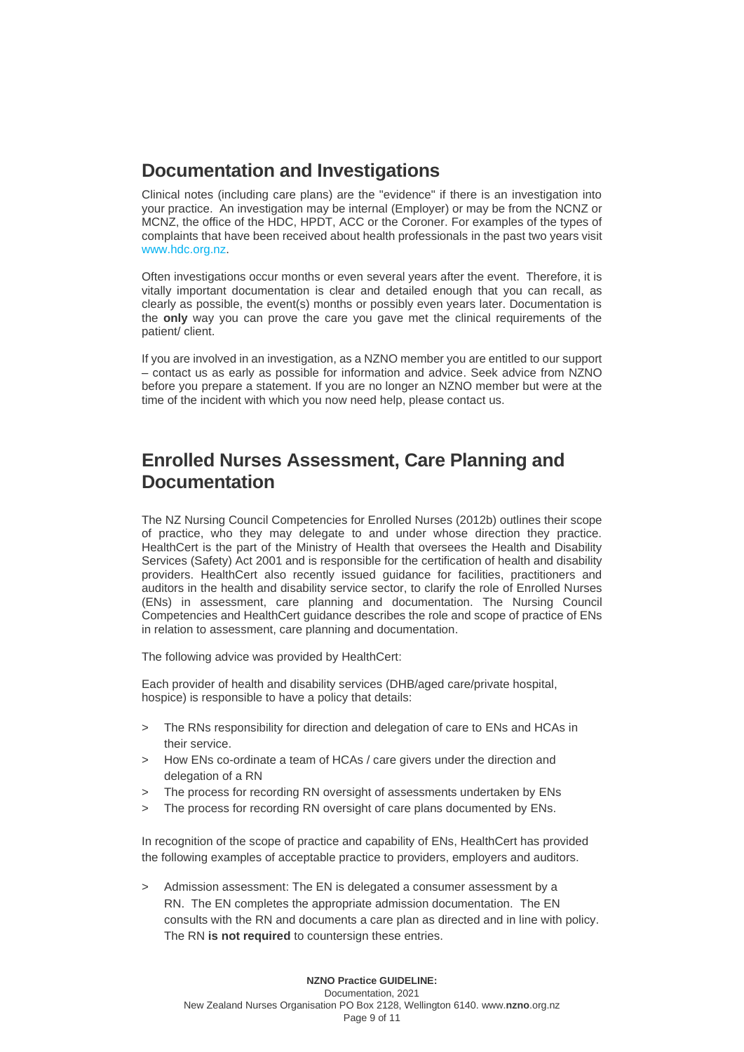## **Documentation and Investigations**

Clinical notes (including care plans) are the "evidence" if there is an investigation into your practice. An investigation may be internal (Employer) or may be from the NCNZ or MCNZ, the office of the HDC, HPDT, ACC or the Coroner. For examples of the types of complaints that have been received about health professionals in the past two years visit [www.hdc.org.nz.](http://www.hdc.org.nz/)

Often investigations occur months or even several years after the event. Therefore, it is vitally important documentation is clear and detailed enough that you can recall, as clearly as possible, the event(s) months or possibly even years later. Documentation is the **only** way you can prove the care you gave met the clinical requirements of the patient/ client.

If you are involved in an investigation, as a NZNO member you are entitled to our support – contact us as early as possible for information and advice. Seek advice from NZNO before you prepare a statement. If you are no longer an NZNO member but were at the time of the incident with which you now need help, please contact us.

## **Enrolled Nurses Assessment, Care Planning and Documentation**

The NZ Nursing Council Competencies for Enrolled Nurses (2012b) outlines their scope of practice, who they may delegate to and under whose direction they practice. HealthCert is the part of the Ministry of Health that oversees the Health and Disability Services (Safety) Act 2001 and is responsible for the certification of health and disability providers. HealthCert also recently issued guidance for facilities, practitioners and auditors in the health and disability service sector, to clarify the role of Enrolled Nurses (ENs) in assessment, care planning and documentation. The Nursing Council Competencies and HealthCert guidance describes the role and scope of practice of ENs in relation to assessment, care planning and documentation.

The following advice was provided by HealthCert:

Each provider of health and disability services (DHB/aged care/private hospital, hospice) is responsible to have a policy that details:

- > The RNs responsibility for direction and delegation of care to ENs and HCAs in their service.
- > How ENs co-ordinate a team of HCAs / care givers under the direction and delegation of a RN
- > The process for recording RN oversight of assessments undertaken by ENs
- The process for recording RN oversight of care plans documented by ENs.

In recognition of the scope of practice and capability of ENs, HealthCert has provided the following examples of acceptable practice to providers, employers and auditors.

> Admission assessment: The EN is delegated a consumer assessment by a RN. The EN completes the appropriate admission documentation. The EN consults with the RN and documents a care plan as directed and in line with policy. The RN **is not required** to countersign these entries.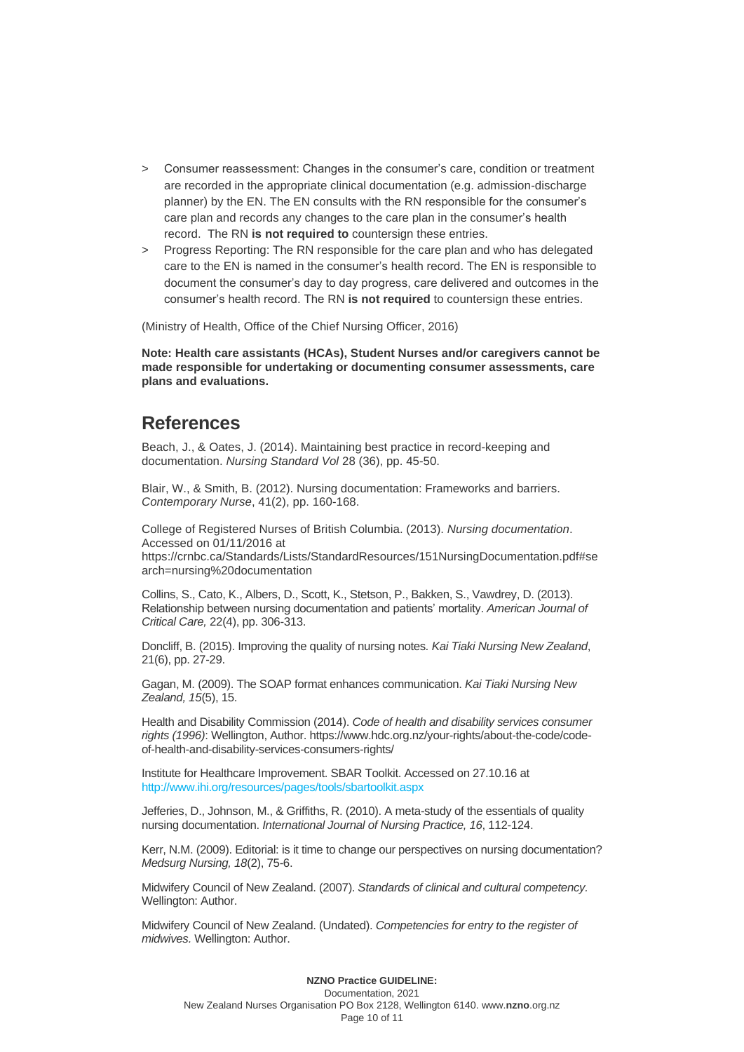- > Consumer reassessment: Changes in the consumer's care, condition or treatment are recorded in the appropriate clinical documentation (e.g. admission-discharge planner) by the EN. The EN consults with the RN responsible for the consumer's care plan and records any changes to the care plan in the consumer's health record. The RN **is not required to** countersign these entries.
- > Progress Reporting: The RN responsible for the care plan and who has delegated care to the EN is named in the consumer's health record. The EN is responsible to document the consumer's day to day progress, care delivered and outcomes in the consumer's health record. The RN **is not required** to countersign these entries.

(Ministry of Health, Office of the Chief Nursing Officer, 2016)

**Note: Health care assistants (HCAs), Student Nurses and/or caregivers cannot be made responsible for undertaking or documenting consumer assessments, care plans and evaluations.**

### **References**

Beach, J., & Oates, J. (2014). Maintaining best practice in record-keeping and documentation. *Nursing Standard Vol* 28 (36), pp. 45-50.

Blair, W., & Smith, B. (2012). Nursing documentation: Frameworks and barriers. *Contemporary Nurse*, 41(2), pp. 160-168.

College of Registered Nurses of British Columbia. (2013). *Nursing documentation*. Accessed on 01/11/2016 at

[https://crnbc.ca/Standards/Lists/StandardResources/151NursingDocumentation.pdf#se](https://crnbc.ca/Standards/Lists/StandardResources/151NursingDocumentation.pdf#search=nursing%20documentation) [arch=nursing%20documentation](https://crnbc.ca/Standards/Lists/StandardResources/151NursingDocumentation.pdf#search=nursing%20documentation)

Collins, S., Cato, K., Albers, D., Scott, K., Stetson, P., Bakken, S., Vawdrey, D. (2013). Relationship between nursing documentation and patients' mortality. *American Journal of Critical Care,* 22(4), pp. 306-313.

Doncliff, B. (2015). Improving the quality of nursing notes*. Kai Tiaki Nursing New Zealand*, 21(6), pp. 27-29.

Gagan, M. (2009). The SOAP format enhances communication. *Kai Tiaki Nursing New Zealand, 15*(5), 15.

Health and Disability Commission (2014). *Code of health and disability services consumer rights (1996)*: Wellington, Author. https://www.hdc.org.nz/your-rights/about-the-code/codeof-health-and-disability-services-consumers-rights/

Institute for Healthcare Improvement. SBAR Toolkit. Accessed on 27.10.16 at <http://www.ihi.org/resources/pages/tools/sbartoolkit.aspx>

Jefferies, D., Johnson, M., & Griffiths, R. (2010). A meta-study of the essentials of quality nursing documentation. *International Journal of Nursing Practice, 16*, 112-124.

Kerr, N.M. (2009). Editorial: is it time to change our perspectives on nursing documentation? *Medsurg Nursing, 18*(2), 75-6.

Midwifery Council of New Zealand. (2007). *Standards of clinical and cultural competency.* Wellington: Author.

Midwifery Council of New Zealand. (Undated). *Competencies for entry to the register of midwives.* Wellington: Author.